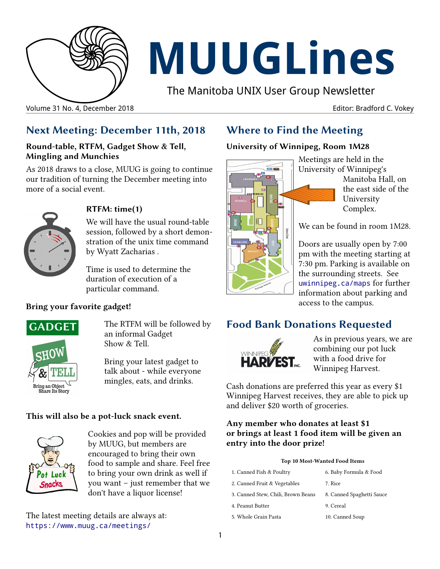

# **MUUGLines**

The Manitoba UNIX User Group Newsletter

Volume 31 No. 4, December 2018 Editor: Bradford C. Vokey

## **Next Meeting: December 11th, 2018**

#### **Round-table, RTFM, Gadget Show & Tell, Mingling and Munchies**

As 2018 draws to a close, MUUG is going to continue our tradition of turning the December meeting into more of a social event.



#### **RTFM: time(1)**

We will have the usual round-table session, followed by a short demonstration of the unix time command by Wyatt Zacharias .

Time is used to determine the duration of execution of a particular command.

#### **Bring your favorite gadget!**



The RTFM will be followed by an informal Gadget Show & Tell.

Bring your latest gadget to talk about - while everyone mingles, eats, and drinks.

#### **This will also be a pot-luck snack event.**



Cookies and pop will be provided by MUUG, but members are encouraged to bring their own food to sample and share. Feel free to bring your own drink as well if you want – just remember that we don't have a liquor license!

The latest meeting details are always at: [https://www.muug.ca/meetings/](https://www.muug.mb.ca/meetings/)

## **Where to Find the Meeting**

#### **University of Winnipeg, Room 1M28**



Meetings are held in the University of Winnipeg's Manitoba Hall, on the east side of the University Complex.

We can be found in room 1M28.

Doors are usually open by 7:00 pm with the meeting starting at 7:30 pm. Parking is available on the surrounding streets. See [uwinnipeg.ca/maps](http://www.uwinnipeg.ca/maps) for further information about parking and access to the campus.

## **Food Bank Donations Requested**



As in previous years, we are combining our pot luck with a food drive for Winnipeg Harvest.

Cash donations are preferred this year as every \$1 Winnipeg Harvest receives, they are able to pick up and deliver \$20 worth of groceries.

#### **Any member who donates at least \$1 or brings at least 1 food item will be given an entry into the door prize!**

#### **Top 10 Most-Wanted Food Items**

| 1. Canned Fish & Poultry           | 6. Baby Formula & Food    |
|------------------------------------|---------------------------|
| 2. Canned Fruit & Vegetables       | 7. Rice                   |
| 3. Canned Stew, Chili, Brown Beans | 8. Canned Spaghetti Sauce |
| 4. Peanut Butter                   | 9. Cereal                 |
| 5. Whole Grain Pasta               | 10. Canned Soup           |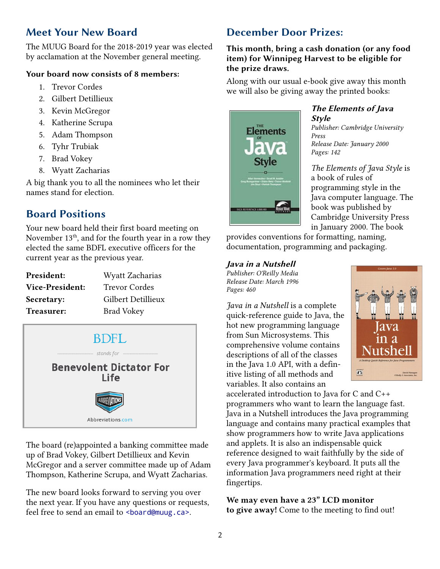## **Meet Your New Board**

The MUUG Board for the 2018-2019 year was elected by acclamation at the November general meeting.

#### **Your board now consists of 8 members:**

- 1. Trevor Cordes
- 2. Gilbert Detillieux
- 3. Kevin McGregor
- 4. Katherine Scrupa
- 5. Adam Thompson
- 6. Tyhr Trubiak
- 7. Brad Vokey
- 8. Wyatt Zacharias

A big thank you to all the nominees who let their names stand for election.

## **Board Positions**

Your new board held their first board meeting on November  $13<sup>th</sup>$ , and for the fourth year in a row they elected the same BDFL executive officers for the current year as the previous year.

| President:      | Wyatt Zacharias    |
|-----------------|--------------------|
| Vice-President: | Trevor Cordes      |
| Secretary:      | Gilbert Detillieux |
| Treasurer:      | <b>Brad Vokey</b>  |



The board (re)appointed a banking committee made up of Brad Vokey, Gilbert Detillieux and Kevin McGregor and a server committee made up of Adam Thompson, Katherine Scrupa, and Wyatt Zacharias.

The new board looks forward to serving you over the next year. If you have any questions or requests, feel free to send an email to <br/>board@muug.ca>.

## **December Door Prizes:**

#### **This month, bring a cash donation (or any food item) for Winnipeg Harvest to be eligible for the prize draws.**

Along with our usual e-book give away this month we will also be giving away the printed books:



#### **The Elements of Java Style**

*Publisher: Cambridge University Press Release Date: January 2000 Pages: 142*

*The Elements of Java Style* is a book of rules of programming style in the Java computer language. The book was published by Cambridge University Press in January 2000. The book

provides conventions for formatting, naming, documentation, programming and packaging.

#### **Java in a Nutshell**

*Publisher: O'Reilly Media Release Date: March 1996 Pages: 460*

*Java in a Nutshell* is a complete quick-reference guide to Java, the hot new programming language from Sun Microsystems. This comprehensive volume contains descriptions of all of the classes in the Java 1.0 API, with a definitive listing of all methods and variables. It also contains an



accelerated introduction to Java for C and C++ programmers who want to learn the language fast. Java in a Nutshell introduces the Java programming language and contains many practical examples that show programmers how to write Java applications and applets. It is also an indispensable quick reference designed to wait faithfully by the side of every Java programmer's keyboard. It puts all the information Java programmers need right at their fingertips.

**We may even have a 23" LCD monitor to give away!** Come to the meeting to find out!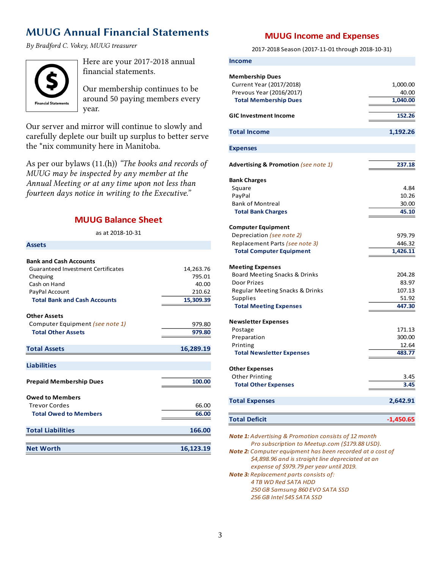## **MUUG Annual Financial Statements**

*By Bradford C. Vokey, MUUG treasurer*



**Assets**

Here are your 2017-2018 annual financial statements.

Our membership continues to be around 50 paying members every year.

Our server and mirror will continue to slowly and carefully deplete our built up surplus to better serve the \*nix community here in Manitoba.

As per our bylaws (11.(h)) *"The books and records of MUUG may be inspected by any member at the Annual Meeting or at any time upon not less than fourteen days notice in writing to the Executive."*

#### **MUUG Balance Sheet**

as at 2018-10-31

| ASSELS                                    |           |
|-------------------------------------------|-----------|
| <b>Bank and Cash Accounts</b>             |           |
| <b>Guaranteed Investment Certificates</b> | 14,263.76 |
| Chequing                                  | 795.01    |
| Cash on Hand                              | 40.00     |
| PayPal Account                            | 210.62    |
| <b>Total Bank and Cash Accounts</b>       | 15,309.39 |
| <b>Other Assets</b>                       |           |
| Computer Equipment (see note 1)           | 979.80    |
| <b>Total Other Assets</b>                 | 979.80    |
|                                           |           |
| <b>Total Assets</b>                       | 16,289.19 |
|                                           |           |
| <b>Liabilities</b>                        |           |
| <b>Prepaid Membership Dues</b>            | 100.00    |
|                                           |           |
| <b>Owed to Members</b>                    |           |
| <b>Trevor Cordes</b>                      | 66.00     |
| <b>Total Owed to Members</b>              | 66.00     |
|                                           |           |
| <b>Total Liabilities</b>                  | 166.00    |
|                                           |           |
| <b>Net Worth</b>                          | 16,123.19 |

#### **MUUG Income and Expenses**

2017-2018 Season (2017-11-01 through 2018-10-31)

| Income                                                                                                         |                               |
|----------------------------------------------------------------------------------------------------------------|-------------------------------|
| <b>Membership Dues</b><br>Current Year (2017/2018)<br>Prevous Year (2016/2017)<br><b>Total Membership Dues</b> | 1,000.00<br>40.00<br>1,040.00 |
| <b>GIC Investment Income</b>                                                                                   | 152.26                        |
| Total Income                                                                                                   | 1,192.26                      |
|                                                                                                                |                               |
| <b>Expenses</b>                                                                                                |                               |
| <b>Advertising &amp; Promotion (see note 1)</b>                                                                | 237.18                        |
| <b>Bank Charges</b>                                                                                            |                               |
| Square                                                                                                         | 4.84                          |
| PayPal                                                                                                         | 10.26                         |
| <b>Bank of Montreal</b>                                                                                        | 30.00                         |
| <b>Total Bank Charges</b>                                                                                      | 45.10                         |
| <b>Computer Equipment</b>                                                                                      |                               |
| Depreciation (see note 2)                                                                                      | 979.79                        |
| Replacement Parts (see note 3)                                                                                 | 446.32                        |
| <b>Total Computer Equipment</b>                                                                                | 1,426.11                      |
| <b>Meeting Expenses</b>                                                                                        |                               |
| Board Meeting Snacks & Drinks                                                                                  | 204.28                        |
| <b>Door Prizes</b>                                                                                             | 83.97                         |
| Regular Meeting Snacks & Drinks                                                                                | 107.13                        |
| Supplies                                                                                                       | 51.92                         |
| <b>Total Meeting Expenses</b>                                                                                  | 447.30                        |
| <b>Newsletter Expenses</b>                                                                                     |                               |
| Postage                                                                                                        | 171.13                        |
| Preparation                                                                                                    | 300.00                        |
| Printing                                                                                                       | 12.64                         |
| <b>Total Newsletter Expenses</b>                                                                               | 483.77                        |
| <b>Other Expenses</b>                                                                                          |                               |
| Other Printing                                                                                                 | 3.45                          |
| <b>Total Other Expenses</b>                                                                                    | 3.45                          |
| <b>Total Expenses</b>                                                                                          | 2,642.91                      |
| <b>Total Deficit</b>                                                                                           | $-1,450.65$                   |

*Note 1: Advertising & Promotion consists of 12 month Pro subscription to Meetup.com (\$179.88 USD). Note 2: Computer equipment has been recorded at a cost of \$4,898.96 and is straight line depreciated at an*

 *expense of \$979.79 per year until 2019. Note 3: Replacement parts consists of: 4 TB WD Red SATA HDD 250 GB Samsung 860 EVO SATA SSD 256 GB Intel 545 SATA SSD*